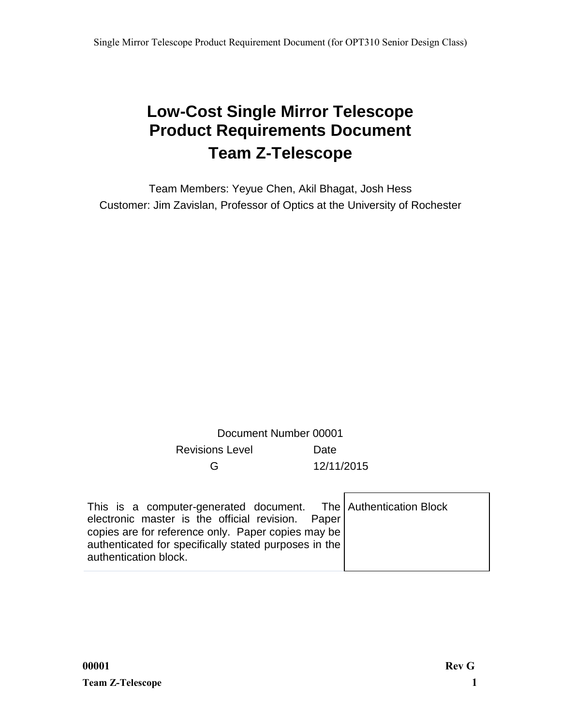# **Low-Cost Single Mirror Telescope Product Requirements Document Team Z-Telescope**

Team Members: Yeyue Chen, Akil Bhagat, Josh Hess Customer: Jim Zavislan, Professor of Optics at the University of Rochester

## Document Number 00001 Revisions Level Date G 12/11/2015

| This is a computer-generated document. The Authentication Block |  |
|-----------------------------------------------------------------|--|
| electronic master is the official revision. Paper               |  |
| copies are for reference only. Paper copies may be              |  |
| authenticated for specifically stated purposes in the           |  |
| authentication block.                                           |  |

Г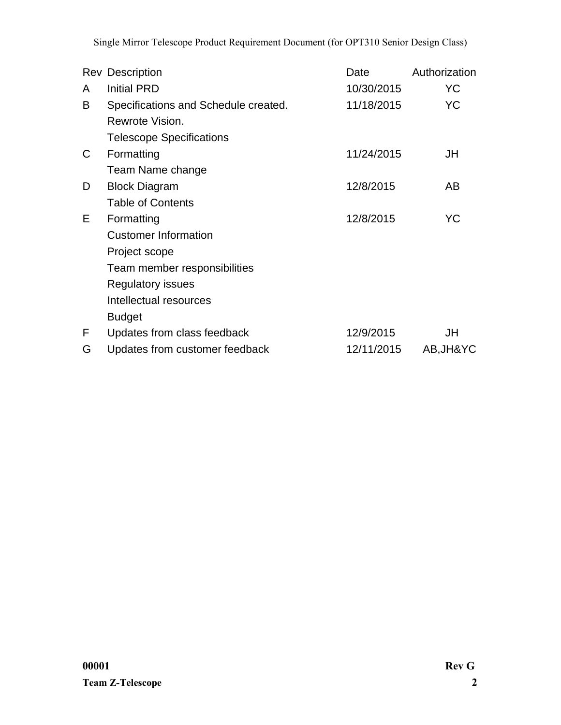Single Mirror Telescope Product Requirement Document (for OPT310 Senior Design Class)

|   | <b>Rev Description</b>               | Date       | Authorization |
|---|--------------------------------------|------------|---------------|
| A | <b>Initial PRD</b>                   | 10/30/2015 | YC            |
| B | Specifications and Schedule created. | 11/18/2015 | YC            |
|   | Rewrote Vision.                      |            |               |
|   | <b>Telescope Specifications</b>      |            |               |
| C | Formatting                           | 11/24/2015 | JH            |
|   | Team Name change                     |            |               |
| D | <b>Block Diagram</b>                 | 12/8/2015  | AB            |
|   | <b>Table of Contents</b>             |            |               |
| Е | Formatting                           | 12/8/2015  | YC            |
|   | <b>Customer Information</b>          |            |               |
|   | Project scope                        |            |               |
|   | Team member responsibilities         |            |               |
|   | Regulatory issues                    |            |               |
|   | Intellectual resources               |            |               |
|   | <b>Budget</b>                        |            |               |
| F | Updates from class feedback          | 12/9/2015  | JH            |
| G | Updates from customer feedback       | 12/11/2015 | AB, JH&YC     |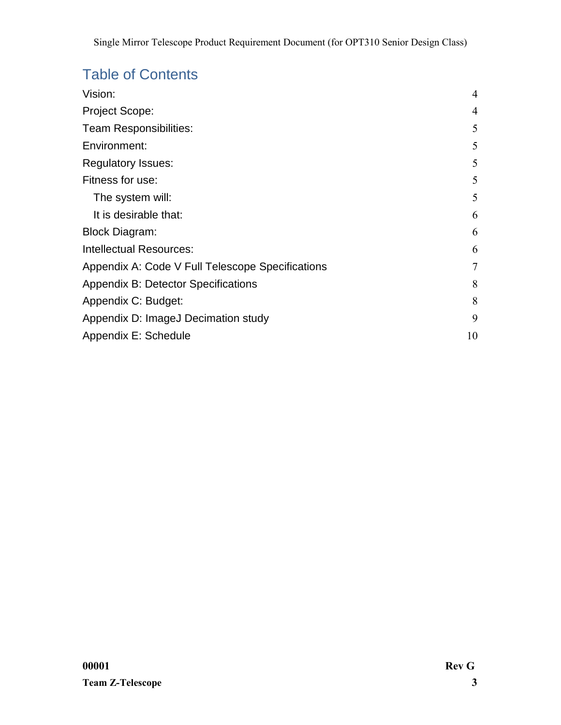# Table of Contents

| Vision:                                          | 4  |
|--------------------------------------------------|----|
| <b>Project Scope:</b>                            | 4  |
| Team Responsibilities:                           | 5  |
| Environment:                                     | 5  |
| <b>Regulatory Issues:</b>                        | 5  |
| Fitness for use:                                 | 5  |
| The system will:                                 | 5  |
| It is desirable that:                            | 6  |
| <b>Block Diagram:</b>                            | 6  |
| Intellectual Resources:                          | 6  |
| Appendix A: Code V Full Telescope Specifications | 7  |
| <b>Appendix B: Detector Specifications</b>       | 8  |
| Appendix C: Budget:                              | 8  |
| Appendix D: ImageJ Decimation study              | 9  |
| Appendix E: Schedule                             | 10 |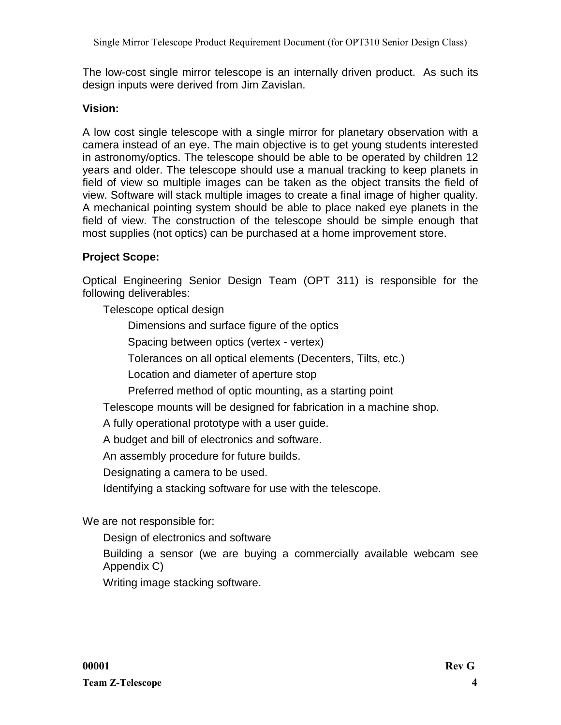The low-cost single mirror telescope is an internally driven product. As such its design inputs were derived from Jim Zavislan.

## <span id="page-3-0"></span>**Vision:**

A low cost single telescope with a single mirror for planetary observation with a camera instead of an eye. The main objective is to get young students interested in astronomy/optics. The telescope should be able to be operated by children 12 years and older. The telescope should use a manual tracking to keep planets in field of view so multiple images can be taken as the object transits the field of view. Software will stack multiple images to create a final image of higher quality. A mechanical pointing system should be able to place naked eye planets in the field of view. The construction of the telescope should be simple enough that most supplies (not optics) can be purchased at a home improvement store.

## <span id="page-3-1"></span>**Project Scope:**

Optical Engineering Senior Design Team (OPT 311) is responsible for the following deliverables:

Telescope optical design

Dimensions and surface figure of the optics

Spacing between optics (vertex - vertex)

Tolerances on all optical elements (Decenters, Tilts, etc.)

Location and diameter of aperture stop

Preferred method of optic mounting, as a starting point

Telescope mounts will be designed for fabrication in a machine shop.

A fully operational prototype with a user guide.

A budget and bill of electronics and software.

An assembly procedure for future builds.

Designating a camera to be used.

Identifying a stacking software for use with the telescope.

We are not responsible for:

Design of electronics and software

Building a sensor (we are buying a commercially available webcam see Appendix C)

<span id="page-3-2"></span>Writing image stacking software.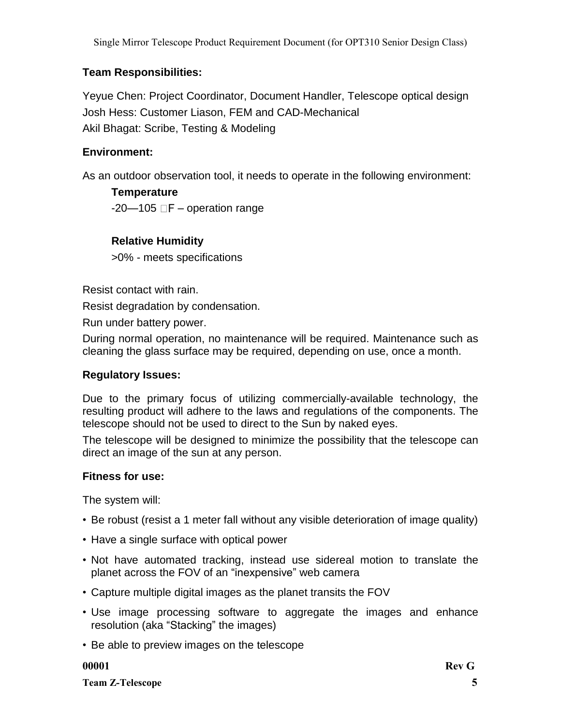## **Team Responsibilities:**

Yeyue Chen: Project Coordinator, Document Handler, Telescope optical design Josh Hess: Customer Liason, FEM and CAD-Mechanical Akil Bhagat: Scribe, Testing & Modeling

### <span id="page-4-0"></span>**Environment:**

As an outdoor observation tool, it needs to operate in the following environment:

**Temperature**  $-20-105$   $\Box$  F – operation range

### **Relative Humidity**

>0% - meets specifications

Resist contact with rain.

Resist degradation by condensation.

Run under battery power.

During normal operation, no maintenance will be required. Maintenance such as cleaning the glass surface may be required, depending on use, once a month.

### <span id="page-4-1"></span>**Regulatory Issues:**

Due to the primary focus of utilizing commercially-available technology, the resulting product will adhere to the laws and regulations of the components. The telescope should not be used to direct to the Sun by naked eyes.

The telescope will be designed to minimize the possibility that the telescope can direct an image of the sun at any person.

### <span id="page-4-2"></span>**Fitness for use:**

<span id="page-4-3"></span>The system will:

- Be robust (resist a 1 meter fall without any visible deterioration of image quality)
- Have a single surface with optical power
- Not have automated tracking, instead use sidereal motion to translate the planet across the FOV of an "inexpensive" web camera
- Capture multiple digital images as the planet transits the FOV
- Use image processing software to aggregate the images and enhance resolution (aka "Stacking" the images)
- Be able to preview images on the telescope

**Team Z-Telescope 5**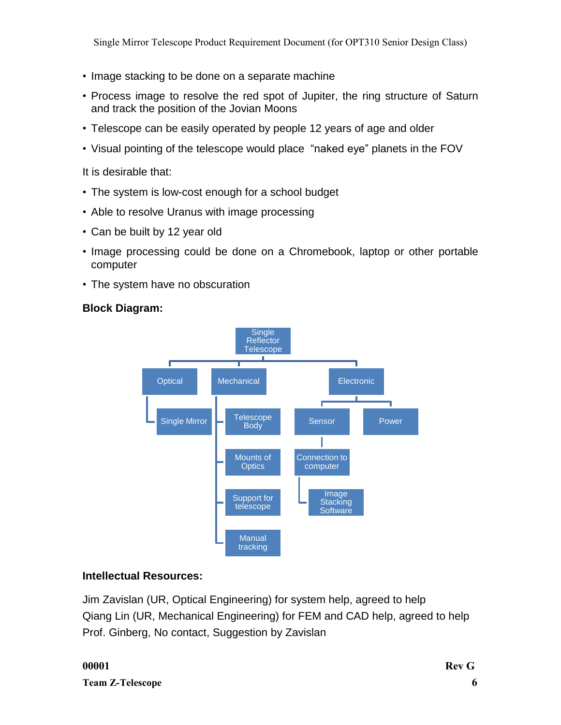- Image stacking to be done on a separate machine
- Process image to resolve the red spot of Jupiter, the ring structure of Saturn and track the position of the Jovian Moons
- Telescope can be easily operated by people 12 years of age and older
- Visual pointing of the telescope would place "naked eye" planets in the FOV

<span id="page-5-0"></span>It is desirable that:

- The system is low-cost enough for a school budget
- Able to resolve Uranus with image processing
- Can be built by 12 year old
- Image processing could be done on a Chromebook, laptop or other portable computer
- The system have no obscuration

## <span id="page-5-1"></span>**Block Diagram:**



## <span id="page-5-2"></span>**Intellectual Resources:**

<span id="page-5-3"></span>Jim Zavislan (UR, Optical Engineering) for system help, agreed to help Qiang Lin (UR, Mechanical Engineering) for FEM and CAD help, agreed to help Prof. Ginberg, No contact, Suggestion by Zavislan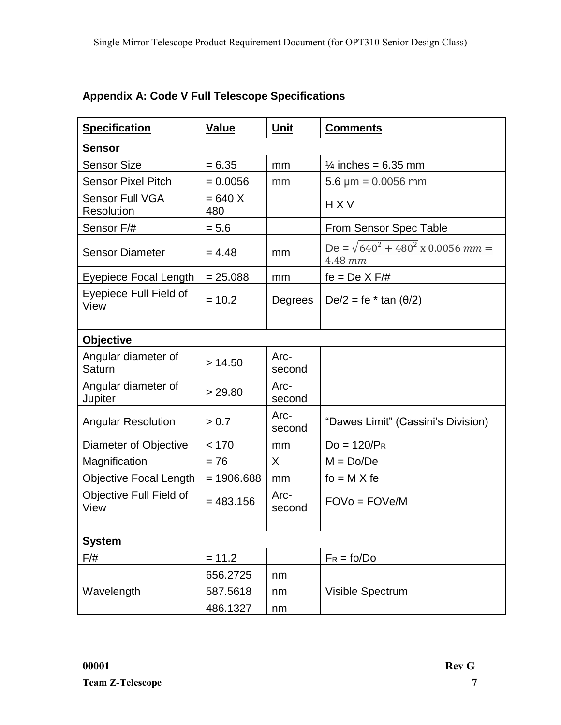| <b>Specification</b>                        | <b>Value</b>     | <b>Unit</b>    | <b>Comments</b>                                      |
|---------------------------------------------|------------------|----------------|------------------------------------------------------|
| <b>Sensor</b>                               |                  |                |                                                      |
| <b>Sensor Size</b>                          | $= 6.35$         | mm             | $\frac{1}{4}$ inches = 6.35 mm                       |
| <b>Sensor Pixel Pitch</b>                   | $= 0.0056$       | mm             | 5.6 $\mu$ m = 0.0056 mm                              |
| <b>Sensor Full VGA</b><br><b>Resolution</b> | $= 640 X$<br>480 |                | <b>HXV</b>                                           |
| Sensor F/#                                  | $= 5.6$          |                | From Sensor Spec Table                               |
| <b>Sensor Diameter</b>                      | $= 4.48$         | mm             | De = $\sqrt{640^2 + 480^2}$ x 0.0056 mm =<br>4.48 mm |
| Eyepiece Focal Length                       | $= 25.088$       | mm             | $fe = De X F/H$                                      |
| Eyepiece Full Field of<br>View              | $= 10.2$         | Degrees        | De/2 = fe $*$ tan ( $\theta$ /2)                     |
|                                             |                  |                |                                                      |
| <b>Objective</b>                            |                  |                |                                                      |
| Angular diameter of<br>Saturn               | > 14.50          | Arc-<br>second |                                                      |
| Angular diameter of<br>Jupiter              | > 29.80          | Arc-<br>second |                                                      |
| <b>Angular Resolution</b>                   | > 0.7            | Arc-<br>second | "Dawes Limit" (Cassini's Division)                   |
| Diameter of Objective                       | < 170            | mm             | $Do = 120/P_R$                                       |
| Magnification                               | $= 76$           | X              | $M = Do/De$                                          |
| Objective Focal Length                      | $= 1906.688$     | mm             | $fo = M \times fe$                                   |
| Objective Full Field of<br>View             | $= 483.156$      | Arc-<br>second | $FOVo = FOVe/M$                                      |
|                                             |                  |                |                                                      |
| <b>System</b>                               |                  |                |                                                      |
| $F/\#$                                      | $= 11.2$         |                | $F_R = \text{fo} / \text{Do}$                        |
|                                             | 656.2725         | nm             |                                                      |
| Wavelength                                  | 587.5618         | nm             | Visible Spectrum                                     |
|                                             | 486.1327         | nm             |                                                      |

## **Appendix A: Code V Full Telescope Specifications**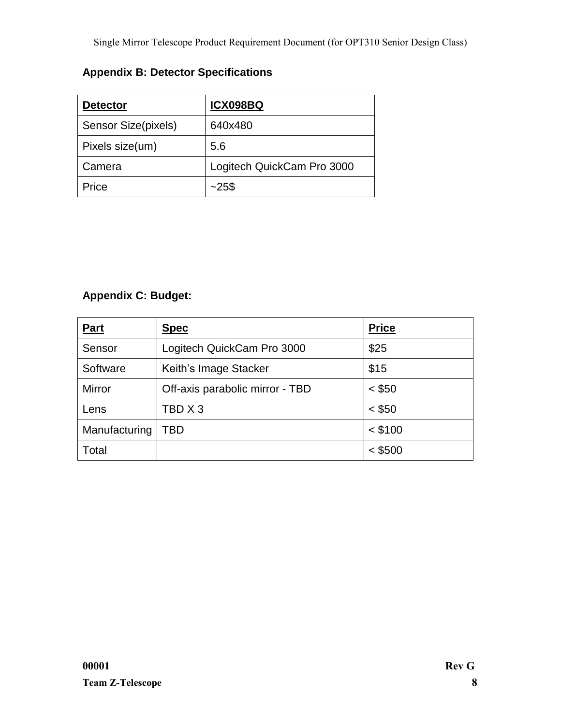## <span id="page-7-0"></span>**Appendix B: Detector Specifications**

| <b>Detector</b>     | <b>ICX098BQ</b>            |
|---------------------|----------------------------|
| Sensor Size(pixels) | 640x480                    |
| Pixels size(um)     | 5.6                        |
| Camera              | Logitech QuickCam Pro 3000 |
| Price               | $-25$ \$                   |

## <span id="page-7-1"></span>**Appendix C: Budget:**

| Part          | <b>Spec</b>                     | <b>Price</b> |
|---------------|---------------------------------|--------------|
| Sensor        | Logitech QuickCam Pro 3000      | \$25         |
| Software      | Keith's Image Stacker           | \$15         |
| <b>Mirror</b> | Off-axis parabolic mirror - TBD | $<$ \$50     |
| Lens          | TBD X 3                         | $<$ \$50     |
| Manufacturing | TBD                             | $<$ \$100    |
| Total         |                                 | $<$ \$500    |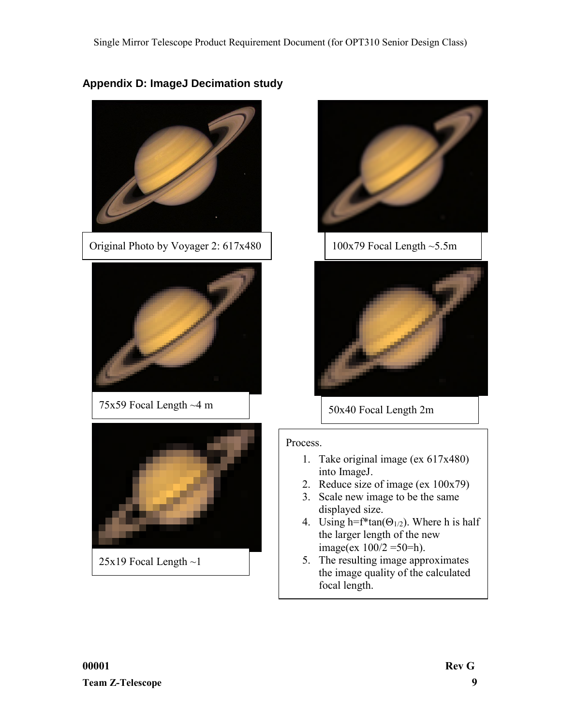## <span id="page-8-0"></span>**Appendix D: ImageJ Decimation study**







### Process.

- 1. Take original image (ex 617x480) into ImageJ.
- 2. Reduce size of image (ex 100x79)
- 3. Scale new image to be the same displayed size.
- 4. Using h=f\*tan( $\Theta_{1/2}$ ). Where h is half the larger length of the new image(ex  $100/2 = 50 = h$ ).
- 5. The resulting image approximates the image quality of the calculated focal length.